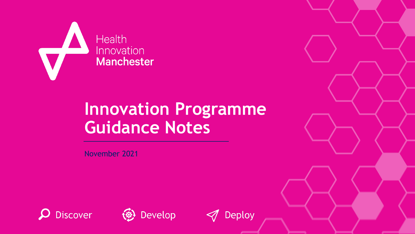

# **Innovation Programme Guidance Notes**

November 2021





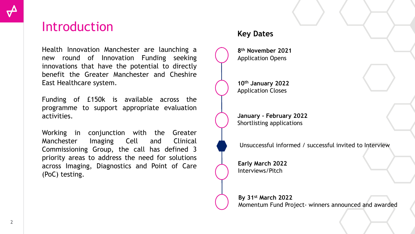### **Introduction**

Health Innovation Manchester are launching a new round of Innovation Funding seeking innovations that have the potential to directly benefit the Greater Manchester and Cheshire East Healthcare system.

Funding of £150k is available across the programme to support appropriate evaluation activities.

Working in conjunction with the Greater Manchester Imaging Cell and Clinical Commissioning Group, the call has defined 3 priority areas to address the need for solutions across Imaging, Diagnostics and Point of Care (PoC) testing.

### **Key Dates**

**8 th November 2021** Application Opens

**10th January 2022** Application Closes

**January – February 2022** Shortlisting applications

Unsuccessful informed / successful invited to Interview

**Early March 2022** Interviews/Pitch

**By 31st March 2022** Momentum Fund Project- winners announced and awarded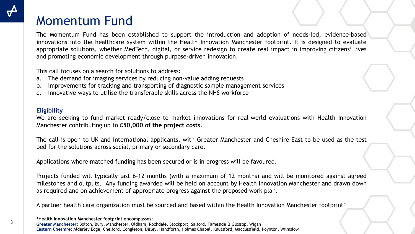### Momentum Fund

The Momentum Fund has been established to support the introduction and adoption of needs-led, evidence-based innovations into the healthcare system within the Health Innovation Manchester footprint. It is designed to evaluate appropriate solutions, whether MedTech, digital, or service redesign to create real impact in improving citizens' lives and promoting economic development through purpose-driven innovation.

This call focuses on a search for solutions to address:

- a. The demand for imaging services by reducing non-value adding requests
- b. Improvements for tracking and transporting of diagnostic sample management services
- c. Innovative ways to utilise the transferable skills across the NHS workforce

#### **Eligibility**

We are seeking to fund market ready/close to market innovations for real-world evaluations with Health Innovation Manchester contributing up to **£50,000 of the project costs**.

The call is open to UK and International applicants, with Greater Manchester and Cheshire East to be used as the test bed for the solutions across social, primary or secondary care.

Applications where matched funding has been secured or is in progress will be favoured.

Projects funded will typically last 6-12 months (with a maximum of 12 months) and will be monitored against agreed milestones and outputs. Any funding awarded will be held on account by Health Innovation Manchester and drawn down as required and on achievement of appropriate progress against the proposed work plan.

A partner health care organization must be sourced and based within the Health Innovation Manchester footprint<sup>1</sup>

**1Health Innovation Manchester footprint encompasses: Greater Manchester:** Bolton, Bury, Manchester, Oldham, Rochdale, Stockport, Salford, Tameside & Glossop, Wigan **Eastern Cheshire:** Alderley Edge, Chelford, Congleton, Disley, Handforth, Holmes Chapel, Knutsford, Macclesfield, Poynton, Wilmslow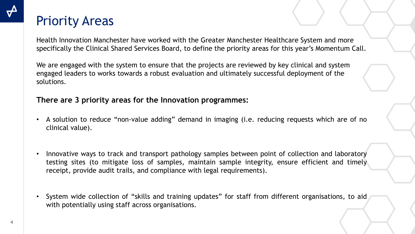### Priority Areas

Health Innovation Manchester have worked with the Greater Manchester Healthcare System and more specifically the Clinical Shared Services Board, to define the priority areas for this year's Momentum Call.

We are engaged with the system to ensure that the projects are reviewed by key clinical and system engaged leaders to works towards a robust evaluation and ultimately successful deployment of the solutions.

### **There are 3 priority areas for the Innovation programmes:**

- A solution to reduce "non-value adding" demand in imaging (i.e. reducing requests which are of no clinical value).
- Innovative ways to track and transport pathology samples between point of collection and laboratory testing sites (to mitigate loss of samples, maintain sample integrity, ensure efficient and timely receipt, provide audit trails, and compliance with legal requirements).
- System wide collection of "skills and training updates" for staff from different organisations, to aid with potentially using staff across organisations.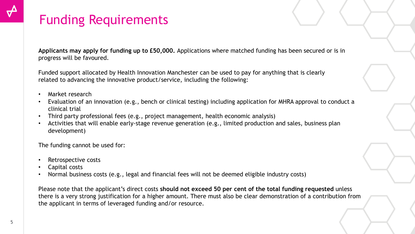## Funding Requirements

**Applicants may apply for funding up to £50,000.** Applications where matched funding has been secured or is in progress will be favoured.

Funded support allocated by Health Innovation Manchester can be used to pay for anything that is clearly related to advancing the innovative product/service, including the following:

- Market research
- Evaluation of an innovation (e.g., bench or clinical testing) including application for MHRA approval to conduct a clinical trial
- Third party professional fees (e.g., project management, health economic analysis)
- Activities that will enable early-stage revenue generation (e.g., limited production and sales, business plan development)

The funding cannot be used for:

- Retrospective costs
- Capital costs
- Normal business costs (e.g., legal and financial fees will not be deemed eligible industry costs)

Please note that the applicant's direct costs **should not exceed 50 per cent of the total funding requested** unless there is a very strong justification for a higher amount. There must also be clear demonstration of a contribution from the applicant in terms of leveraged funding and/or resource.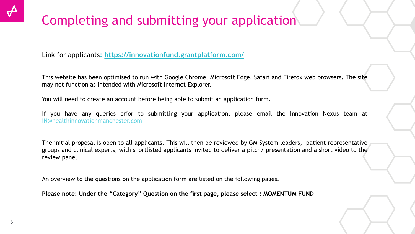## Completing and submitting your application

Link for applicants**: <https://innovationfund.grantplatform.com/>**

This website has been optimised to run with Google Chrome, Microsoft Edge, Safari and Firefox web browsers. The site may not function as intended with Microsoft Internet Explorer.

You will need to create an account before being able to submit an application form.

If you have any queries prior to submitting your application, please email the Innovation Nexus team at [IN@healthinnovationmanchester.com](mailto:IN@healthinnovationmanchester.com)

The initial proposal is open to all applicants. This will then be reviewed by GM System leaders, patient representative groups and clinical experts, with shortlisted applicants invited to deliver a pitch/ presentation and a short video to the review panel.

An overview to the questions on the application form are listed on the following pages.

**Please note: Under the "Category" Question on the first page, please select : MOMENTUM FUND**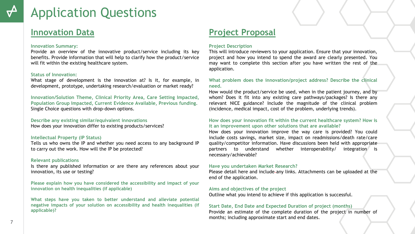### **Innovation Data**

#### **Innovation Summary:**

Provide an overview of the innovative product/service including its key benefits. Provide information that will help to clarify how the product/service will fit within the existing healthcare system.

#### **Status of Innovation:**

What stage of development is the innovation at? Is it, for example, in development, prototype, undertaking research/evaluation or market ready?

**Innovation/Solution Theme, Clinical Priority Area, Care Setting Impacted, Population Group Impacted, Current Evidence Available, Previous funding.** Single Choice questions with drop-down options.

#### **Describe any existing similar/equivalent innovations**

How does your innovation differ to existing products/services?

#### **Intellectual Property (IP Status)**

Tells us who owns the IP and whether you need access to any background IP to carry out the work. How will the IP be protected?

#### **Relevant publications**

Is there any published information or are there any references about your innovation, its use or testing?

**Please explain how you have considered the accessibility and impact of your innovation on health inequalities (if applicable)**

**What steps have you taken to better understand and alleviate potential negative impacts of your solution on accessibility and health inequalities (if applicable)?**

### **Project Proposal**

#### **Project Description**

This will introduce reviewers to your application. Ensure that your innovation, project and how you intend to spend the award are clearly presented. You may want to complete this section after you have written the rest of the application.

#### **What problem does the innovation/project address? Describe the clinical need.**

How would the product/service be used, when in the patient journey, and by whom? Does it fit into any existing care pathways/packages? Is there any relevant NICE guidance? Include the magnitude of the clinical problem (incidence, medical impact, cost of the problem, underlying trends).

#### **How does your innovation fit within the current healthcare system? How is it an improvement upon other solutions that are available?**

How does your innovation improve the way care is provided? You could include costs savings, market size, impact on readmissions/death rate/care quality/competitor information. Have discussions been held with appropriate partners to understand whether interoperability/ integration is necessary/achievable?

#### **Have you undertaken Market Research?**

Please detail here and include any links. Attachments can be uploaded at the end of the application.

#### **Aims and objectives of the project**

Outline what you intend to achieve if this application is successful.

#### **Start Date, End Date and Expected Duration of project (months)**

Provide an estimate of the complete duration of the project in number of months; including approximate start and end dates.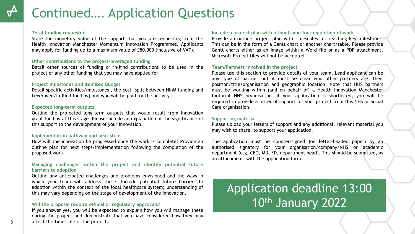## Continued…. Application Questions

#### **Total funding requested**

State the monetary value of the support that you are requesting from the Health Innovation Manchester Momentum Innovation Programmes. Applicants may apply for funding up to a maximum value of £50,000 (inclusive of VAT).

#### **Other contributions to the project/leveraged funding**

Detail other sources of funding or in-kind contributions to be used in the project or any other funding that you may have applied for.

#### **Project milestones and Itemised Budget**

Detail specific activities/milestones , the cost (split between HInM funding and Leveraged/In-Kind funding) and who will be paid for the activity.

#### **Expected long-term outputs**

Outline the projected long-term outputs that would result from Innovation grant funding at this stage. Please include an explanation of the significance of this support to the development of your innovation.

#### **Implementation pathway and next steps**

How will the innovation be progressed once the work is complete? Provide an outline plan for next steps/implementation following the completion of the proposed work.

#### **Managing challenges within the project and identify potential future barriers to adoption**

Outline any anticipated challenges and problems envisioned and the ways in which your team will address these. Include potential future barriers to adoption within the context of the local healthcare system; understanding of this may vary depending on the stage of development of the innovation.

#### **Will the proposal require ethical or regulatory approvals?**

If you answer yes, you will be expected to explain how you will manage these during the project and demonstrate that you have considered how they may affect the timescale of the project.

#### **Include a project plan with a timeframe for completion of work**

Provide an outline project plan with timescales for reaching key milestones. This can be in the form of a Gantt chart or another chart/table. Please provide Gantt charts either as an image within a Word file or as a PDF attachment. Microsoft Project files will not be accepted.

#### **Team/Partners involved in the project**

Please use this section to provide details of your team. Lead applicant can be any type of partner but it must be clear who other partners are, their position/title/organisation and geographic location. Note that NHS partners must be working within (and on behalf of) a Health Innovation Manchester footprint NHS organisation. If your application is shortlisted, you will be required to provide a letter of support for your project from this NHS or Social Care organisation**.**

#### **Supporting material**

Please upload your letters of support and any additional, relevant material you may wish to share, to support your application.

The application must be counter-signed (on letter-headed paper) by an authorised signatory for your organisation/company/NHS or academic department (e.g. CEO, MD, FD, department head). This should be submitted, as an attachment, with the application form.

### Application deadline 13:00 10th January 2022